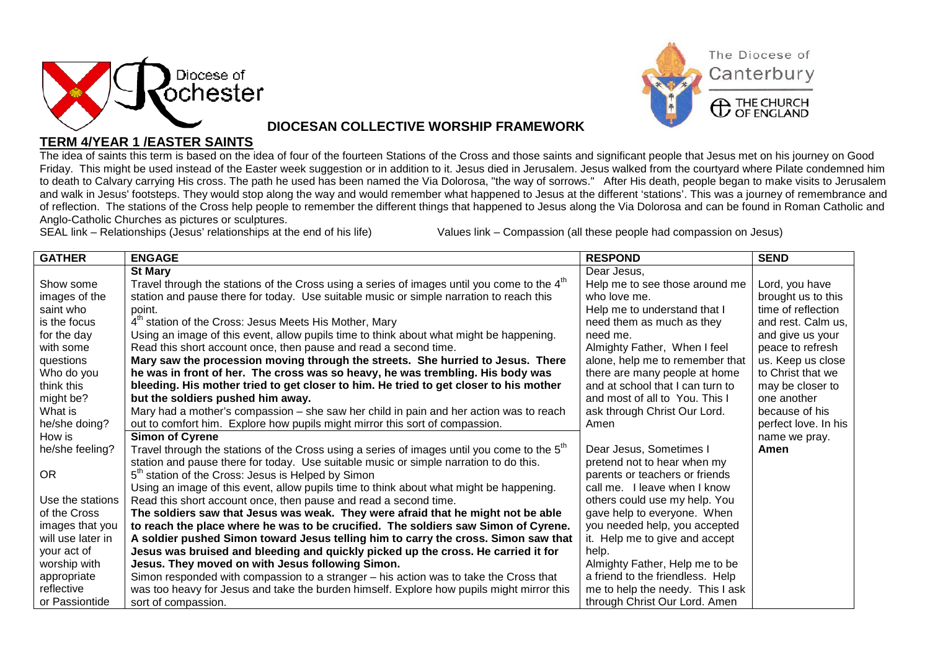



## **DIOCESAN COLLECTIVE WORSHIP FRAMEWORK**

## **TERM 4/YEAR 1 /EASTER SAINTS**

The idea of saints this term is based on the idea of four of the fourteen Stations of the Cross and those saints and significant people that Jesus met on his journey on Good Friday. This might be used instead of the Easter week suggestion or in addition to it. Jesus died in Jerusalem. Jesus walked from the courtyard where Pilate condemned him to death to Calvary carrying His cross. The path he used has been named the Via Dolorosa, "the way of sorrows." After His death, people began to make visits to Jerusalem and walk in Jesus' footsteps. They would stop along the way and would remember what happened to Jesus at the different 'stations'. This was a journey of remembrance and of reflection. The stations of the Cross help people to remember the different things that happened to Jesus along the Via Dolorosa and can be found in Roman Catholic and Anglo-Catholic Churches as pictures or sculptures.<br>SEAL link – Relationships (Jesus' relationships at the end of his life)

Values link – Compassion (all these people had compassion on Jesus)

| <b>GATHER</b>     | <b>ENGAGE</b>                                                                                           | <b>RESPOND</b>                   | <b>SEND</b>          |
|-------------------|---------------------------------------------------------------------------------------------------------|----------------------------------|----------------------|
|                   | <b>St Mary</b>                                                                                          | Dear Jesus,                      |                      |
| Show some         | Travel through the stations of the Cross using a series of images until you come to the 4 <sup>th</sup> | Help me to see those around me   | Lord, you have       |
| images of the     | station and pause there for today. Use suitable music or simple narration to reach this                 | who love me.                     | brought us to this   |
| saint who         | point.                                                                                                  | Help me to understand that I     | time of reflection   |
| is the focus      | 4 <sup>th</sup> station of the Cross: Jesus Meets His Mother, Mary                                      | need them as much as they        | and rest. Calm us.   |
| for the day       | Using an image of this event, allow pupils time to think about what might be happening.                 | need me.                         | and give us your     |
| with some         | Read this short account once, then pause and read a second time.                                        | Almighty Father, When I feel     | peace to refresh     |
| questions         | Mary saw the procession moving through the streets. She hurried to Jesus. There                         | alone, help me to remember that  | us. Keep us close    |
| Who do you        | he was in front of her. The cross was so heavy, he was trembling. His body was                          | there are many people at home    | to Christ that we    |
| think this        | bleeding. His mother tried to get closer to him. He tried to get closer to his mother                   | and at school that I can turn to | may be closer to     |
| might be?         | but the soldiers pushed him away.                                                                       | and most of all to You. This I   | one another          |
| What is           | Mary had a mother's compassion – she saw her child in pain and her action was to reach                  | ask through Christ Our Lord.     | because of his       |
| he/she doing?     | out to comfort him. Explore how pupils might mirror this sort of compassion.                            | Amen                             | perfect love. In his |
| How is            | <b>Simon of Cyrene</b>                                                                                  |                                  | name we pray.        |
| he/she feeling?   | Travel through the stations of the Cross using a series of images until you come to the 5 <sup>th</sup> | Dear Jesus, Sometimes I          | Amen                 |
|                   | station and pause there for today. Use suitable music or simple narration to do this.                   | pretend not to hear when my      |                      |
| <b>OR</b>         | 5 <sup>th</sup> station of the Cross: Jesus is Helped by Simon                                          | parents or teachers or friends   |                      |
|                   | Using an image of this event, allow pupils time to think about what might be happening.                 | call me. I leave when I know     |                      |
| Use the stations  | Read this short account once, then pause and read a second time.                                        | others could use my help. You    |                      |
| of the Cross      | The soldiers saw that Jesus was weak. They were afraid that he might not be able                        | gave help to everyone. When      |                      |
| images that you   | to reach the place where he was to be crucified. The soldiers saw Simon of Cyrene.                      | you needed help, you accepted    |                      |
| will use later in | A soldier pushed Simon toward Jesus telling him to carry the cross. Simon saw that                      | it. Help me to give and accept   |                      |
| your act of       | Jesus was bruised and bleeding and quickly picked up the cross. He carried it for                       | help.                            |                      |
| worship with      | Jesus. They moved on with Jesus following Simon.                                                        | Almighty Father, Help me to be   |                      |
| appropriate       | Simon responded with compassion to a stranger - his action was to take the Cross that                   | a friend to the friendless. Help |                      |
| reflective        | was too heavy for Jesus and take the burden himself. Explore how pupils might mirror this               | me to help the needy. This I ask |                      |
| or Passiontide    | sort of compassion.                                                                                     | through Christ Our Lord. Amen    |                      |